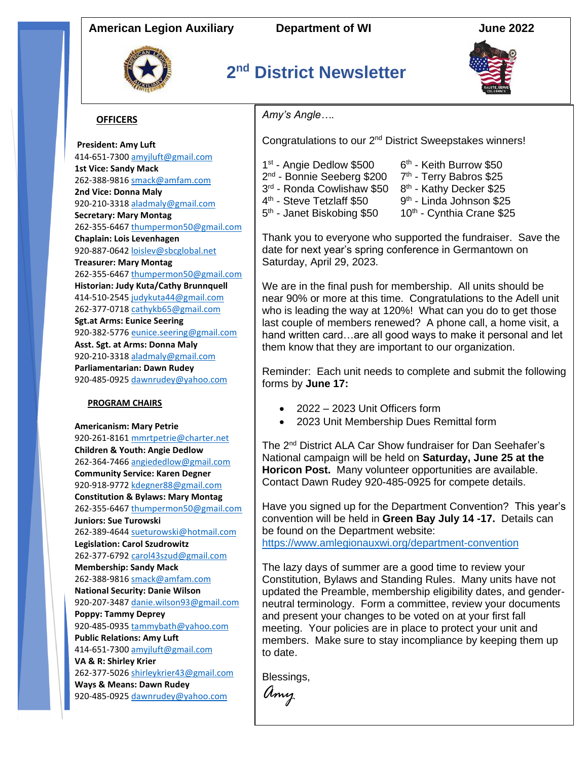### **American Legion Auxiliary Department of WI June 2022**



# **2 nd District Newsletter**



#### **OFFICERS**

**President: Amy Luft**  414-651-7300 [amyjluft@gmail.com](mailto:amyjluft@gmail.com) **1st Vice: Sandy Mack**  262-388-9816 [smack@amfam.com](mailto:smack@amfam.com) **2nd Vice: Donna Maly**  920-210-3318 [aladmaly@gmail.com](mailto:aladmaly@gmail.com) **Secretary: Mary Montag**  262-355-6467 [thumpermon50@gmail.com](mailto:thumpermon50@gmail.com) **Chaplain: Lois Levenhagen**  920-887-0642 [loislev@sbcglobal.net](mailto:loislev@sbcglobal.net) **Treasurer: Mary Montag**  262-355-6467 [thumpermon50@gmail.com](mailto:thumpermon50@gmail.com) **Historian: Judy Kuta/Cathy Brunnquell**  414-510-2545 [judykuta44@gmail.com](mailto:judykuta44@gmail.com) 262-377-0718 [cathykb65@gmail.com](mailto:cathykb65@gmail.com) **Sgt.at Arms: Eunice Seering**  920-382-5776 [eunice.seering@gmail.com](mailto:eunice.seering@gmail.com) **Asst. Sgt. at Arms: Donna Maly**  920-210-3318 [aladmaly@gmail.com](mailto:aladmaly@gmail.com) **Parliamentarian: Dawn Rudey** 920-485-0925 [dawnrudey@yahoo.com](mailto:dawnrudey@yahoo.com)

#### **PROGRAM CHAIRS**

#### **Americanism: Mary Petrie**

920-261-8161 [mmrtpetrie@charter.net](mailto:mmrtpetrie@charter.net) **Children & Youth: Angie Dedlow** 262-364-7466 [angiededlow@gmail.com](mailto:angiededlow@gmail.com) **Community Service: Karen Degner** 920-918-9772 [kdegner88@gmail.com](mailto:kdegner88@gmail.com) **Constitution & Bylaws: Mary Montag**  262-355-6467 [thumpermon50@gmail.com](mailto:thumpermon50@gmail.com) **Juniors: Sue Turowski** 262-389-4644 [sueturowski@hotmail.com](mailto:sueturowski@hotmail.com) **Legislation: Carol Szudrowitz** 262-377-6792 [carol43szud@gmail.com](mailto:carol43szud@gmail.com) **Membership: Sandy Mack** 262-388-9816 [smack@amfam.com](mailto:smack@amfam.com) **National Security: Danie Wilson**  920-207-3487 [danie.wilson93@gmail.com](mailto:danie.wilson93@gmail.com) **Poppy: Tammy Deprey** 920-485-0935 [tammybath@yahoo.com](mailto:tammybath@yahoo.com) **Public Relations: Amy Luft** 414-651-7300 [amyjluft@gmail.com](mailto:amyjluft@gmail.com) **VA & R: Shirley Krier**  262-377-5026 [shirleykrier43@gmail.com](mailto:shirleykrier43@gmail.com) **Ways & Means: Dawn Rudey**  920-485-0925 [dawnrudey@yahoo.com](mailto:dawnrudey@yahoo.com)

*Amy's Angle….*

Congratulations to our 2nd District Sweepstakes winners!

- 1<sup>st</sup> Angie Dedlow \$500 6
- 2<sup>nd</sup> Bonnie Seeberg \$200 7
- 3<sup>rd</sup> Ronda Cowlishaw \$50 8
- 4<sup>th</sup> Steve Tetzlaff \$50 9
- 5<sup>th</sup> Janet Biskobing \$50 10<sup>th</sup>
- <sup>th</sup> Keith Burrow \$50 <sup>th</sup> - Terry Babros \$25 <sup>th</sup> - Kathy Decker \$25 <sup>th</sup> - Linda Johnson \$25
	- 10<sup>th</sup> Cynthia Crane \$25

Thank you to everyone who supported the fundraiser. Save the date for next year's spring conference in Germantown on Saturday, April 29, 2023.

We are in the final push for membership. All units should be near 90% or more at this time. Congratulations to the Adell unit who is leading the way at 120%! What can you do to get those last couple of members renewed? A phone call, a home visit, a hand written card…are all good ways to make it personal and let them know that they are important to our organization.

Reminder: Each unit needs to complete and submit the following forms by **June 17:**

- 2022 2023 Unit Officers form
- 2023 Unit Membership Dues Remittal form

The 2<sup>nd</sup> District ALA Car Show fundraiser for Dan Seehafer's National campaign will be held on **Saturday, June 25 at the Horicon Post.** Many volunteer opportunities are available. Contact Dawn Rudey 920-485-0925 for compete details.

Have you signed up for the Department Convention? This year's convention will be held in **Green Bay July 14 -17.** Details can be found on the Department website: <https://www.amlegionauxwi.org/department-convention>

The lazy days of summer are a good time to review your Constitution, Bylaws and Standing Rules. Many units have not updated the Preamble, membership eligibility dates, and genderneutral terminology. Form a committee, review your documents and present your changes to be voted on at your first fall meeting. Your policies are in place to protect your unit and members. Make sure to stay incompliance by keeping them up to date.

Blessings,

*Amy*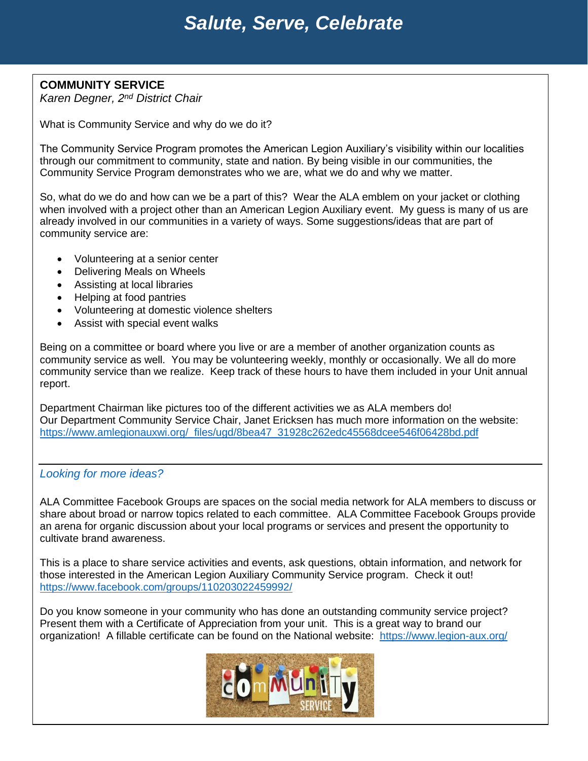## *Salute, Serve, Celebrate*

## **COMMUNITY SERVICE**

*Karen Degner, 2 nd District Chair*

What is Community Service and why do we do it?

The Community Service Program promotes the American Legion Auxiliary's visibility within our localities through our commitment to community, state and nation. By being visible in our communities, the Community Service Program demonstrates who we are, what we do and why we matter.

So, what do we do and how can we be a part of this? Wear the ALA emblem on your jacket or clothing when involved with a project other than an American Legion Auxiliary event. My guess is many of us are already involved in our communities in a variety of ways. Some suggestions/ideas that are part of community service are:

- Volunteering at a senior center
- Delivering Meals on Wheels
- Assisting at local libraries
- Helping at food pantries
- Volunteering at domestic violence shelters
- Assist with special event walks

Being on a committee or board where you live or are a member of another organization counts as community service as well. You may be volunteering weekly, monthly or occasionally. We all do more community service than we realize. Keep track of these hours to have them included in your Unit annual report.

Department Chairman like pictures too of the different activities we as ALA members do! Our Department Community Service Chair, Janet Ericksen has much more information on the website: [https://www.amlegionauxwi.org/\\_files/ugd/8bea47\\_31928c262edc45568dcee546f06428bd.pdf](https://www.amlegionauxwi.org/_files/ugd/8bea47_31928c262edc45568dcee546f06428bd.pdf)

#### *[Looking for more ideas?](https://www.facebook.com/groups/110203022459992/)*

ALA Committee Facebook Groups are spaces on the social media network for ALA members to discuss or share about broad or narrow topics related to each committee. ALA Committee Facebook Groups provide an arena for organic discussion about your local programs or services and present the opportunity to cultivate brand awareness.

This is a place to share service activities and events, ask questions, obtain information, and network for those interested in the American Legion Auxiliary Community Service program. Check it out! <https://www.facebook.com/groups/110203022459992/>

Do you know someone in your community who has done an outstanding community service project? Present them with a Certificate of Appreciation from your unit. This is a great way to brand our organization! A fillable certificate can be found on the National website: <https://www.legion-aux.org/>

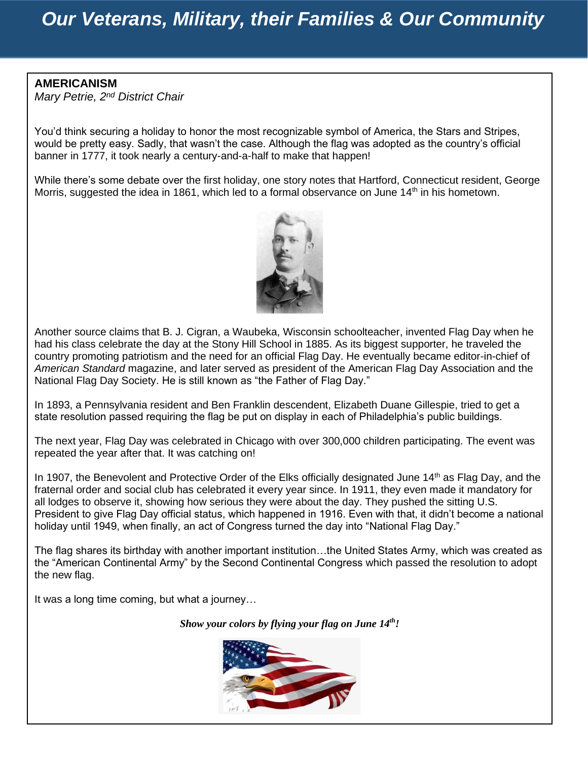**AMERICANISM**

*Mary Petrie, 2 nd District Chair*

You'd think securing a holiday to honor the most recognizable symbol of America, the Stars and Stripes, would be pretty easy. Sadly, that wasn't the case. Although the flag was adopted as the country's official banner in 1777, it took nearly a century-and-a-half to make that happen!

While there's some debate over the first holiday, one story notes that Hartford, Connecticut resident, George Morris, suggested the idea in 1861, which led to a formal observance on June 14<sup>th</sup> in his hometown.



Another source claims that B. J. Cigran, a Waubeka, Wisconsin schoolteacher, invented Flag Day when he had his class celebrate the day at the Stony Hill School in 1885. As its biggest supporter, he traveled the country promoting patriotism and the need for an official Flag Day. He eventually became editor-in-chief of *American Standard* magazine, and later served as president of the American Flag Day Association and the National Flag Day Society. He is still known as "the Father of Flag Day."

In 1893, a Pennsylvania resident and Ben Franklin descendent, Elizabeth Duane Gillespie, tried to get a state resolution passed requiring the flag be put on display in each of Philadelphia's public buildings.

The next year, Flag Day was celebrated in Chicago with over 300,000 children participating. The event was repeated the year after that. It was catching on!

In 1907, the Benevolent and Protective Order of the Elks officially designated June 14<sup>th</sup> as Flag Day, and the fraternal order and social club has celebrated it every year since. In 1911, they even made it mandatory for all lodges to observe it, showing how serious they were about the day. They pushed the sitting U.S. President to give Flag Day official status, which happened in 1916. Even with that, it didn't become a national holiday until 1949, when finally, an act of Congress turned the day into "National Flag Day."

The flag shares its birthday with another important institution…the United States Army, which was created as the "American Continental Army" by the Second Continental Congress which passed the resolution to adopt the new flag.

It was a long time coming, but what a journey…

*Show your colors by flying your flag on June 14th!*

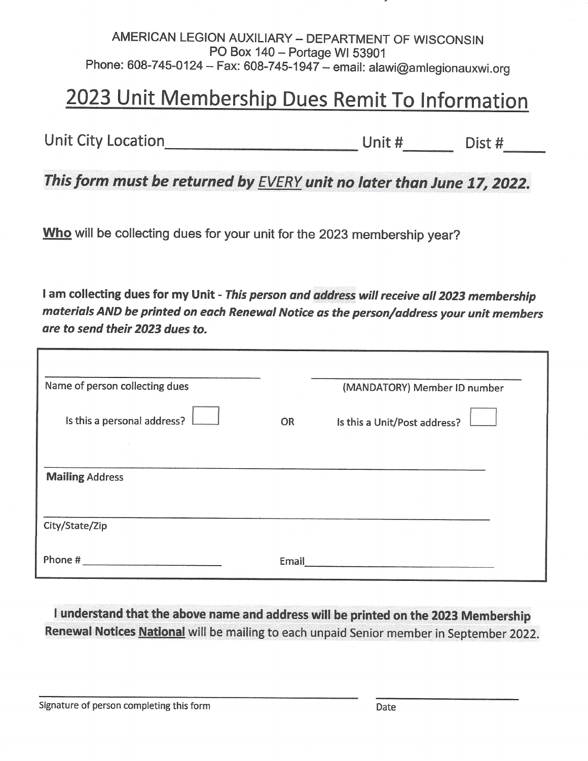## AMERICAN LEGION AUXILIARY - DEPARTMENT OF WISCONSIN PO Box 140 - Portage WI 53901 Phone: 608-745-0124 - Fax: 608-745-1947 - email: alawi@amlegionauxwi.org

# 2023 Unit Membership Dues Remit To Information

## This form must be returned by EVERY unit no later than June 17, 2022.

Who will be collecting dues for your unit for the 2023 membership year?

I am collecting dues for my Unit - This person and address will receive all 2023 membership materials AND be printed on each Renewal Notice as the person/address your unit members are to send their 2023 dues to.

| Name of person collecting dues |       | (MANDATORY) Member ID number |
|--------------------------------|-------|------------------------------|
| Is this a personal address?    | OR    | Is this a Unit/Post address? |
|                                |       |                              |
| <b>Mailing Address</b>         |       |                              |
| City/State/Zip                 |       |                              |
| Phone #                        | Email |                              |

I understand that the above name and address will be printed on the 2023 Membership Renewal Notices National will be mailing to each unpaid Senior member in September 2022.